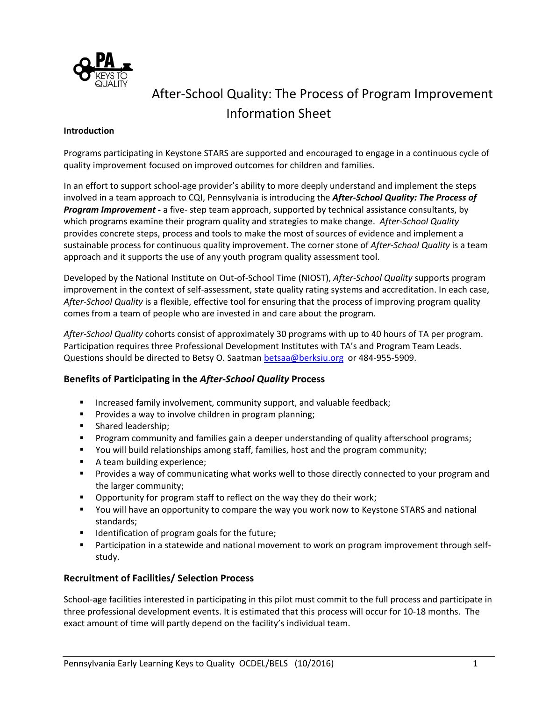

# After-School Quality: The Process of Program Improvement Information Sheet

#### **Introduction**

Programs participating in Keystone STARS are supported and encouraged to engage in a continuous cycle of quality improvement focused on improved outcomes for children and families.

In an effort to support school-age provider's ability to more deeply understand and implement the steps involved in a team approach to CQI, Pennsylvania is introducing the *After-School Quality: The Process of Program Improvement* **-** a five- step team approach, supported by technical assistance consultants, by which programs examine their program quality and strategies to make change. *After-School Quality* provides concrete steps, process and tools to make the most of sources of evidence and implement a sustainable process for continuous quality improvement. The corner stone of *After-School Quality* is a team approach and it supports the use of any youth program quality assessment tool.

Developed by the National Institute on Out-of-School Time (NIOST), *After-School Quality* supports program improvement in the context of self-assessment, state quality rating systems and accreditation. In each case, *After-School Quality* is a flexible, effective tool for ensuring that the process of improving program quality comes from a team of people who are invested in and care about the program.

*After-School Quality* cohorts consist of approximately 30 programs with up to 40 hours of TA per program. Participation requires three Professional Development Institutes with TA's and Program Team Leads. Questions should be directed to Betsy O. Saatman [betsaa@berksiu.org](mailto:betsaa@berksiu.org) or 484-955-5909.

## **Benefits of Participating in the** *After-School Quality* **Process**

- **■** Increased family involvement, community support, and valuable feedback;
- Provides a way to involve children in program planning;
- Shared leadership;
- **•** Program community and families gain a deeper understanding of quality afterschool programs;
- You will build relationships among staff, families, host and the program community;
- A team building experience;
- **•** Provides a way of communicating what works well to those directly connected to your program and the larger community;
- Opportunity for program staff to reflect on the way they do their work;
- You will have an opportunity to compare the way you work now to Keystone STARS and national standards;
- Identification of program goals for the future;
- Participation in a statewide and national movement to work on program improvement through selfstudy.

## **Recruitment of Facilities/ Selection Process**

School-age facilities interested in participating in this pilot must commit to the full process and participate in three professional development events. It is estimated that this process will occur for 10-18 months. The exact amount of time will partly depend on the facility's individual team.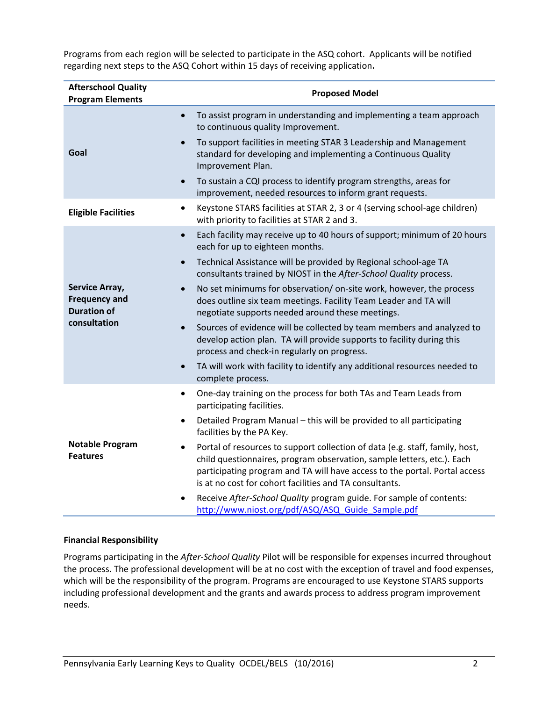Programs from each region will be selected to participate in the ASQ cohort. Applicants will be notified regarding next steps to the ASQ Cohort within 15 days of receiving application**.**

| <b>Afterschool Quality</b><br><b>Program Elements</b>        | <b>Proposed Model</b>                                                                                                                                                                                                                                                                                |  |  |
|--------------------------------------------------------------|------------------------------------------------------------------------------------------------------------------------------------------------------------------------------------------------------------------------------------------------------------------------------------------------------|--|--|
|                                                              | To assist program in understanding and implementing a team approach<br>$\bullet$<br>to continuous quality Improvement.                                                                                                                                                                               |  |  |
| Goal                                                         | To support facilities in meeting STAR 3 Leadership and Management<br>standard for developing and implementing a Continuous Quality<br>Improvement Plan.                                                                                                                                              |  |  |
|                                                              | To sustain a CQI process to identify program strengths, areas for<br>improvement, needed resources to inform grant requests.                                                                                                                                                                         |  |  |
| <b>Eligible Facilities</b>                                   | Keystone STARS facilities at STAR 2, 3 or 4 (serving school-age children)<br>$\bullet$<br>with priority to facilities at STAR 2 and 3.                                                                                                                                                               |  |  |
|                                                              | Each facility may receive up to 40 hours of support; minimum of 20 hours<br>$\bullet$<br>each for up to eighteen months.                                                                                                                                                                             |  |  |
|                                                              | Technical Assistance will be provided by Regional school-age TA<br>consultants trained by NIOST in the After-School Quality process.                                                                                                                                                                 |  |  |
| Service Array,<br><b>Frequency and</b><br><b>Duration of</b> | No set minimums for observation/on-site work, however, the process<br>does outline six team meetings. Facility Team Leader and TA will<br>negotiate supports needed around these meetings.                                                                                                           |  |  |
| consultation                                                 | Sources of evidence will be collected by team members and analyzed to<br>$\bullet$<br>develop action plan. TA will provide supports to facility during this<br>process and check-in regularly on progress.                                                                                           |  |  |
|                                                              | TA will work with facility to identify any additional resources needed to<br>complete process.                                                                                                                                                                                                       |  |  |
|                                                              | One-day training on the process for both TAs and Team Leads from<br>$\bullet$<br>participating facilities.                                                                                                                                                                                           |  |  |
|                                                              | Detailed Program Manual - this will be provided to all participating<br>٠<br>facilities by the PA Key.                                                                                                                                                                                               |  |  |
| <b>Notable Program</b><br><b>Features</b>                    | Portal of resources to support collection of data (e.g. staff, family, host,<br>٠<br>child questionnaires, program observation, sample letters, etc.). Each<br>participating program and TA will have access to the portal. Portal access<br>is at no cost for cohort facilities and TA consultants. |  |  |
|                                                              | Receive After-School Quality program guide. For sample of contents:<br>http://www.niost.org/pdf/ASQ/ASQ Guide Sample.pdf                                                                                                                                                                             |  |  |

#### **Financial Responsibility**

Programs participating in the *After-School Quality* Pilot will be responsible for expenses incurred throughout the process. The professional development will be at no cost with the exception of travel and food expenses, which will be the responsibility of the program. Programs are encouraged to use Keystone STARS supports including professional development and the grants and awards process to address program improvement needs.